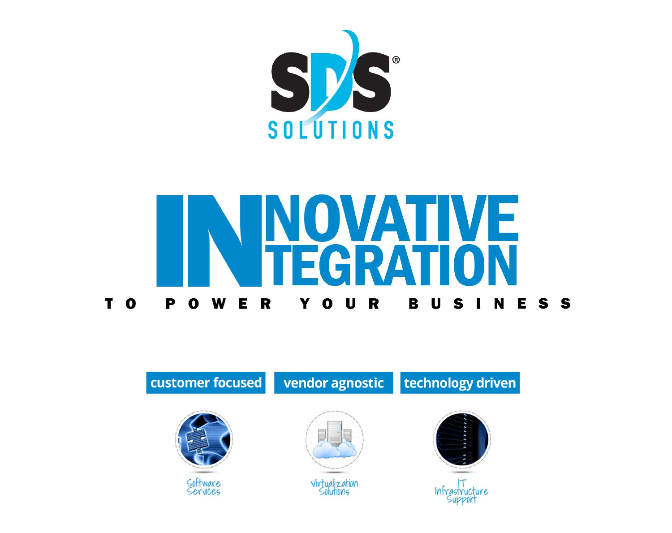



### customer focused



# NOVATIVE EGRATION POWER YOUR BUSINESS

## vendor agnostic | technology driven





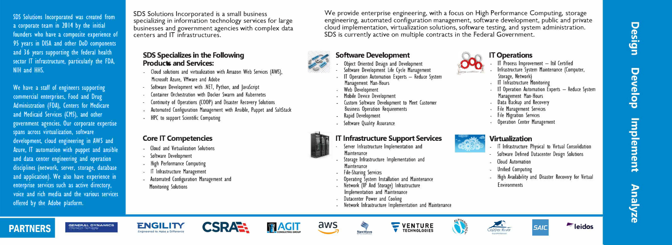SDS Solutions Incorporated was created from a corporate team in 2014 by the initial founders who have a composite experience of 95 years in DISA and other DoD components and 36 years supporting the federal health sector IT infrastructure, particularly the FDA, NIH and HHS.

We have a staff of engineers supporting commercial enterprises, Food and Drug Administration (FDA), Centers for Medicare and Medicaid Services (CMS), and other government agencies. Our corporate expertise spans across virtualization, software development, cloud engineering in AWS and Azure, IT automation with puppet and ansible and data center engineering and operation disciplines (network, server, storage, database and application). We also have experience in enterprise services such as active directory, voice and rich media and the various services offered by the Adobe platform.

- Microsoft Azure, VMware and Adobe
- 
- 
- 
- 
- HPC to support Scientific Computing

- Cloud and Virtualization Solutions
- Software Development
- High Performance Computing **IT Infrastructure Management** Automated Configuration Management and
- 
- Monitoring Solutions

## **PARTNERS**

**GENERAL OVNAMICS lnformat on Technoogy** 

**11 Mei**  $\Xi\lambda$ ,-

SOS Solutions Incorporated is a small business specializing in information technology services for large businesses and government agencies with complex data centers and IT infrastructures.

- Object Oriented Design and Development
- 
- Management Man-Hours
- Web Development
- Mobile Device Development
- Business Operation Requirements
- Rapid Development
- Software Quality Assurance

#### IT Infrastructure Support Services **Virtualization**

#### **SDS Specializes in the Following Products and Services:**

Cloud solutions and virtualization with Amazon Web Services (AWS), - Software Development with .NET, Python, and JavaScript - Container Orchestration with Docker Swarm and Kubernetes - Continuity of Operations (COOP) and Disaster Recovery Solutions Automated Configuration Management with Ansible, Puppet and SaltStack

••• - 14 N  $\mathbb{E}[\mathbb{E}]$ 

 $\sim$ 

### **Core IT Competencies**

- Server Infrastructure Implementation and **Maintenance**
- Storage Infrastructure Implementation and **Maintenance**
- file Sharing Services
- 
- Network (IP And Storage) Infrastructure Implementation and Maintenance
- Datacenter Power and Cooling
- 







- IT Infrastructure Physical to Virtual Consolidation
- Software Defined Datacenter Design Solutions
- Cloud Automation
- Unified Computing
- **High Availability and Disaster Recovery for Virtual Environments**

Design Develop **Implement** nalyze



We provide enterprise engineering, with a focus on High Performance Computing, storage engineering, automated configuration management, software development, public and private cloud implementation, virtualization solutions, software testing, and system administration. SOS is currently active on multiple contracts in the Federal Government.



اندة  $\frac{1}{2}$ 

#### **Software Development**

Custom Software Development to Meet Customer

#### **IT Operations**

- IT Process Improvement  $-$  Itil Certified
- Infrastructure System Maintenance (Computer, Storage, Network)
- **IT Infrastructure Monitoring**
- IT Operation Automation Experts Reduce System Management Man-Hours
- Data Backup and Recovery
- File Management Services
- File Migration Services
- **E** Operation Center Management



- 1

...-i **Q,)**

Operating System Installation and Maintenance









Software Development Life Cycle Management IT Operation Automation Experts - Reduce System